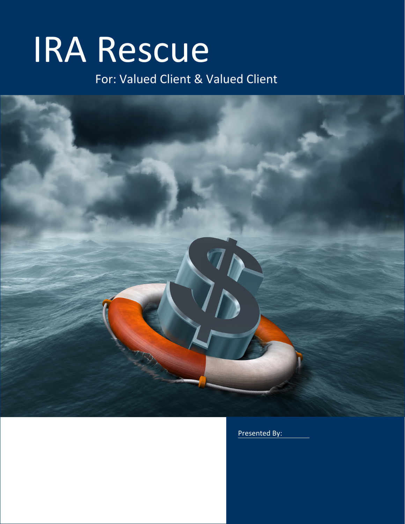# IRA Rescue

For: Valued Client & Valued Client



Presented By: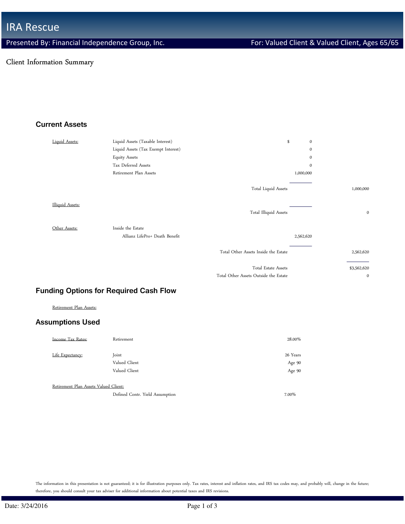# Client Information Summary

# Current Assets

| Liquid Assets:          | Liquid Assets (Taxable Interest)    | \$                                    | $\mathbf{0}$ |
|-------------------------|-------------------------------------|---------------------------------------|--------------|
|                         | Liquid Assets (Tax Exempt Interest) |                                       | $\mathbf{0}$ |
|                         | <b>Equity Assets</b>                |                                       | $\mathbf{0}$ |
|                         | Tax Deferred Assets                 |                                       | $\mathbf{0}$ |
|                         | Retirement Plan Assets              |                                       | 1,000,000    |
|                         |                                     | Total Liquid Assets                   | 1,000,000    |
| <b>Illiquid Assets:</b> |                                     | Total Illiquid Assets                 | $\mathbf 0$  |
| Other Assets:           | Inside the Estate                   |                                       |              |
|                         | Allianz LifePro+ Death Benefit      |                                       | 2,562,620    |
|                         |                                     | Total Other Assets Inside the Estate  | 2,562,620    |
|                         |                                     | Total Estate Assets                   | \$3,562,620  |
|                         |                                     | Total Other Assets Outside the Estate | $\mathbf 0$  |

#### Funding Options for Required Cash Flow

Retirement Plan Assets:

#### Assumptions Used

| Income Tax Rates:                     | Retirement                      | 28.00%   |
|---------------------------------------|---------------------------------|----------|
| Life Expectancy:                      | Joint                           | 26 Years |
|                                       | Valued Client                   | Age 90   |
|                                       | Valued Client                   | Age 90   |
| Retirement Plan Assets Valued Client: |                                 |          |
|                                       | Defined Contr. Yield Assumption | 7.00%    |

The information in this presentation is not guaranteed; it is for illustration purposes only. Tax rates, interest and inflation rates, and IRS tax codes may, and probably will, change in the future; therefore, you should consult your tax adviser for additional information about potential taxes and IRS revisions.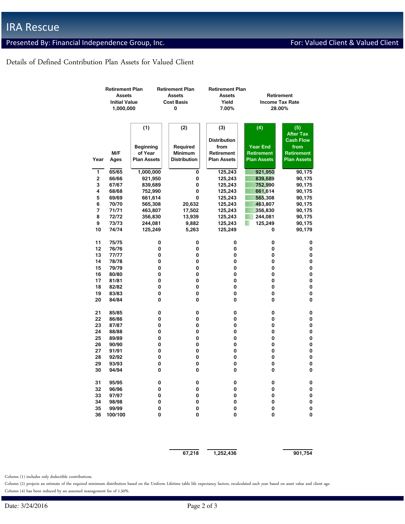# Presented By: Financial Independence Group, Inc. For: Valued Client & Valued Client & Valued Client

## Details of Defined Contribution Plan Assets for Valued Client

|      | <b>Retirement Plan</b> |                    | <b>Retirement Plan</b> | <b>Retirement Plan</b> |                    |                        |  |
|------|------------------------|--------------------|------------------------|------------------------|--------------------|------------------------|--|
|      | <b>Assets</b>          |                    | <b>Assets</b>          | Assets                 |                    | Retirement             |  |
|      | <b>Initial Value</b>   |                    | <b>Cost Basis</b>      | Yield                  |                    | <b>Income Tax Rate</b> |  |
|      | 1,000,000              |                    | 0                      | 7.00%                  |                    | 28.00%                 |  |
|      |                        |                    |                        |                        |                    |                        |  |
|      |                        | (1)                | (2)                    | (3)                    | (4)                | (5)                    |  |
|      |                        |                    |                        |                        |                    | <b>After Tax</b>       |  |
|      |                        |                    |                        | <b>Distribution</b>    |                    | <b>Cash Flow</b>       |  |
|      |                        | <b>Beginning</b>   | Required               | from                   | <b>Year End</b>    | from                   |  |
|      | M/F                    | of Year            | <b>Minimum</b>         | Retirement             | Retirement         | Retirement             |  |
| Year | Ages                   | <b>Plan Assets</b> | <b>Distribution</b>    | <b>Plan Assets</b>     | <b>Plan Assets</b> | <b>Plan Assets</b>     |  |
| 1    | 65/65                  | 1,000,000          | 0                      | 125,243                | 921,950            | 90,175                 |  |
| 2    | 66/66                  | 921,950            | 0                      | 125,243                | 839,689            | 90,175                 |  |
| 3    | 67/67                  | 839,689            | 0                      | 125,243                | 752,990            | 90,175                 |  |
| 4    | 68/68                  | 752,990            | 0                      | 125,243                | 661,614            | 90,175                 |  |
| 5    | 69/69                  | 661,614            | 0                      | 125,243                | 565,308            | 90,175                 |  |
| 6    | 70/70                  | 565,308            | 20,632                 | 125,243                | 463,807            | 90,175                 |  |
| 7    | 71/71                  | 463,807            | 17,502                 | 125,243                | 356,830            | 90,175                 |  |
| 8    | 72/72                  | 356,830            | 13,939                 | 125,243                | 244,081            | 90,175                 |  |
| 9    | 73/73                  | 244,081            | 9,882                  | 125,243                | 125,249            | 90,175                 |  |
| 10   | 74/74                  | 125,249            | 5,263                  | 125,249                | 0                  | 90,179                 |  |
|      |                        |                    |                        |                        |                    |                        |  |
| 11   | 75/75                  | 0                  | 0                      | 0                      | 0                  | 0                      |  |
| 12   | 76/76                  | 0                  | 0                      | 0                      | 0                  | 0                      |  |
| 13   | 77/77                  | 0                  | 0                      | 0                      | 0                  | 0                      |  |
| 14   | 78/78                  | 0                  | 0                      | 0                      | 0                  | 0                      |  |
| 15   | 79/79                  | 0                  | 0                      | 0                      | 0                  | 0                      |  |
| 16   | 80/80                  | 0                  | 0                      | 0                      | 0                  | 0                      |  |
| 17   | 81/81                  | 0                  | 0                      | 0                      | 0                  | 0                      |  |
| 18   | 82/82                  | 0                  | 0                      | 0                      | 0                  | 0                      |  |
| 19   | 83/83                  | 0                  | 0                      | 0                      | 0                  | 0                      |  |
| 20   | 84/84                  | 0                  | 0                      | 0                      | 0                  | 0                      |  |
| 21   | 85/85                  | 0                  | 0                      | 0                      | 0                  | 0                      |  |
| 22   | 86/86                  | 0                  | 0                      | 0                      | 0                  | 0                      |  |
| 23   | 87/87                  | 0                  | 0                      | 0                      | 0                  | 0                      |  |
| 24   | 88/88                  | 0                  | 0                      | 0                      | 0                  | 0                      |  |
| 25   | 89/89                  | 0                  | 0                      | 0                      | 0                  | 0                      |  |
| 26   | 90/90                  | 0                  | 0                      | 0                      | 0                  | 0                      |  |
| 27   | 91/91                  | 0                  | 0                      | 0                      | 0                  | 0                      |  |
| 28   | 92/92                  | 0                  | 0                      | 0                      | 0                  | 0                      |  |
| 29   | 93/93                  | 0                  | 0                      | 0                      | 0                  | 0                      |  |
| 30   | 94/94                  | 0                  | 0                      | 0                      | 0                  | 0                      |  |
| 31   | 95/95                  | 0                  | U                      | V                      | 0                  | U                      |  |
| 32   | 96/96                  | 0                  | 0                      | 0                      | 0                  | 0                      |  |
| 33   | 97/97                  | 0                  | 0                      | 0                      | 0                  | 0                      |  |
| 34   | 98/98                  | 0                  | 0                      | 0                      | 0                  | 0                      |  |
| 35   | 99/99                  | 0                  | 0                      | 0                      | 0                  | 0                      |  |
| 36   | 100/100                | 0                  | 0                      | 0                      | 0                  | 0                      |  |
|      |                        |                    |                        |                        |                    |                        |  |
|      |                        |                    |                        |                        |                    |                        |  |

 $\overline{67,218}$   $\overline{1,252,436}$   $\overline{901,754}$ 

Column (1) includes only deductible contributions.

Column (2) projects an estimate of the required minimum distribution based on the Uniform Lifetime table life expectancy factors, recalculated each year based on asset value and client age. Column (4) has been reduced by an assumed management fee of 1.50%.